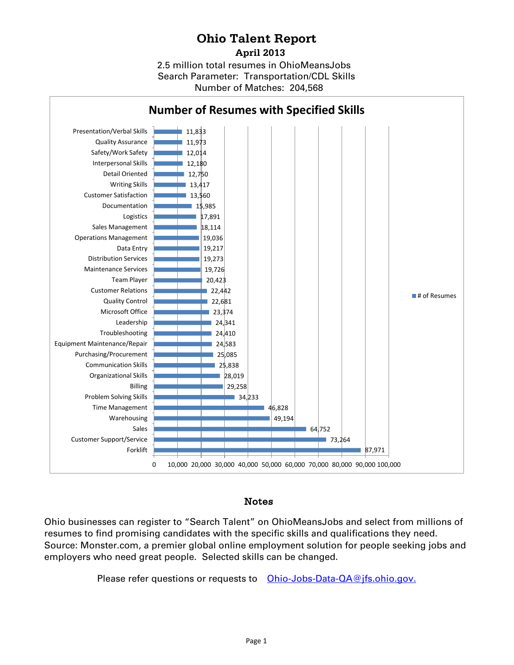## **Ohio Talent Report**

2.5 million total resumes in OhioMeansJobs Number of Matches: 204,568  **April 2013** Search Parameter: Transportation/CDL Skills



## Notes

Ohio businesses can register to "Search Talent" on OhioMeansJobs and select from millions of resumes to find promising candidates with the specific skills and qualifications they need. Source: Monster.com, a premier global online employment solution for people seeking jobs and employers who need great people. Selected skills can be changed.

Please refer questions or requests to [Ohio-Jobs-Data-QA@jfs.ohio.gov.](mailto:Ohio-Jobs-Data-QA@jfs.ohio.gov)